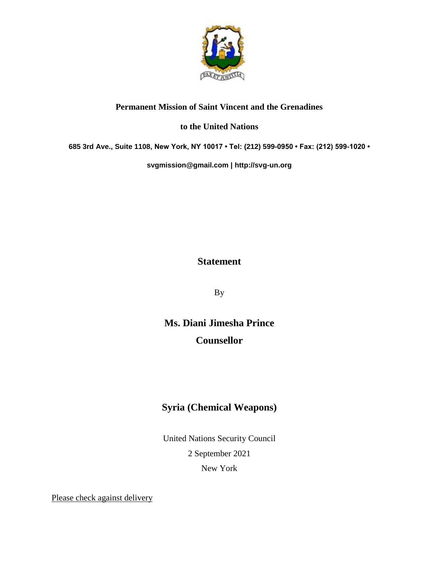

## **Permanent Mission of Saint Vincent and the Grenadines**

## **to the United Nations**

**685 3rd Ave., Suite 1108, New York, NY 10017 • Tel: (212) 599-0950 • Fax: (212) 599-1020 •** 

**[svgmission@gmail.com](mailto:svgmission@gmail.com) | [http://svg-un.org](http://svg-un.org/)**

## **Statement**

By

**Ms. Diani Jimesha Prince Counsellor**

## **Syria (Chemical Weapons)**

United Nations Security Council 2 September 2021 New York

Please check against delivery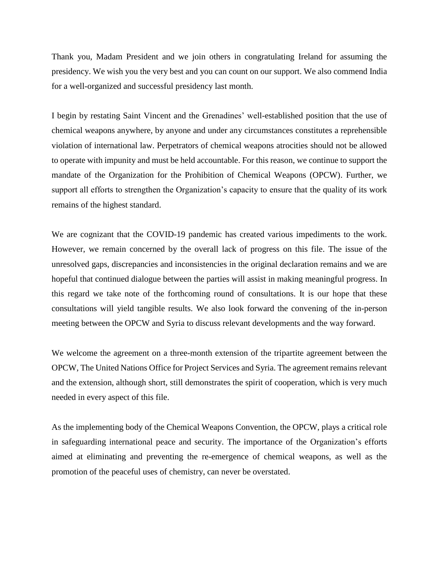Thank you, Madam President and we join others in congratulating Ireland for assuming the presidency. We wish you the very best and you can count on our support. We also commend India for a well-organized and successful presidency last month.

I begin by restating Saint Vincent and the Grenadines' well-established position that the use of chemical weapons anywhere, by anyone and under any circumstances constitutes a reprehensible violation of international law. Perpetrators of chemical weapons atrocities should not be allowed to operate with impunity and must be held accountable. For this reason, we continue to support the mandate of the Organization for the Prohibition of Chemical Weapons (OPCW). Further, we support all efforts to strengthen the Organization's capacity to ensure that the quality of its work remains of the highest standard.

We are cognizant that the COVID-19 pandemic has created various impediments to the work. However, we remain concerned by the overall lack of progress on this file. The issue of the unresolved gaps, discrepancies and inconsistencies in the original declaration remains and we are hopeful that continued dialogue between the parties will assist in making meaningful progress. In this regard we take note of the forthcoming round of consultations. It is our hope that these consultations will yield tangible results. We also look forward the convening of the in-person meeting between the OPCW and Syria to discuss relevant developments and the way forward.

We welcome the agreement on a three-month extension of the tripartite agreement between the OPCW, The United Nations Office for Project Services and Syria. The agreement remains relevant and the extension, although short, still demonstrates the spirit of cooperation, which is very much needed in every aspect of this file.

As the implementing body of the Chemical Weapons Convention, the OPCW, plays a critical role in safeguarding international peace and security. The importance of the Organization's efforts aimed at eliminating and preventing the re-emergence of chemical weapons, as well as the promotion of the peaceful uses of chemistry, can never be overstated.